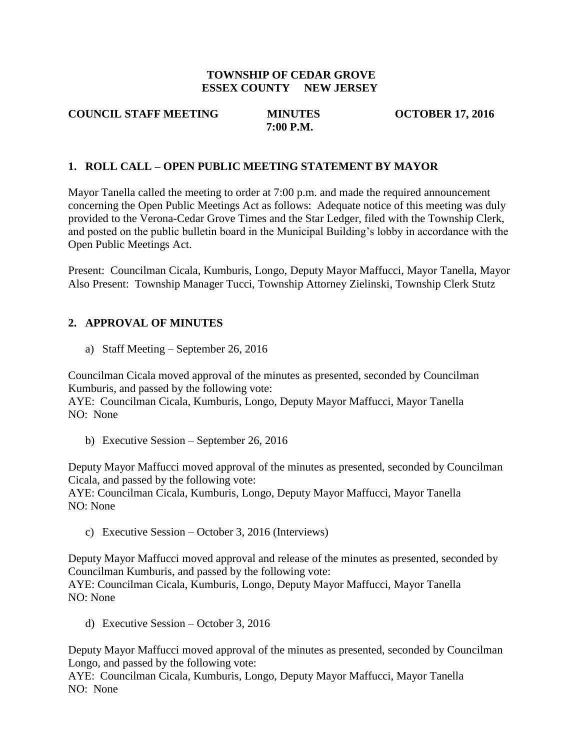### **TOWNSHIP OF CEDAR GROVE ESSEX COUNTY NEW JERSEY**

#### **COUNCIL STAFF MEETING MINUTES OCTOBER 17, 2016 7:00 P.M.**

### **1. ROLL CALL – OPEN PUBLIC MEETING STATEMENT BY MAYOR**

Mayor Tanella called the meeting to order at 7:00 p.m. and made the required announcement concerning the Open Public Meetings Act as follows: Adequate notice of this meeting was duly provided to the Verona-Cedar Grove Times and the Star Ledger, filed with the Township Clerk, and posted on the public bulletin board in the Municipal Building's lobby in accordance with the Open Public Meetings Act.

Present: Councilman Cicala, Kumburis, Longo, Deputy Mayor Maffucci, Mayor Tanella, Mayor Also Present: Township Manager Tucci, Township Attorney Zielinski, Township Clerk Stutz

#### **2. APPROVAL OF MINUTES**

a) Staff Meeting – September 26, 2016

Councilman Cicala moved approval of the minutes as presented, seconded by Councilman Kumburis, and passed by the following vote:

AYE: Councilman Cicala, Kumburis, Longo, Deputy Mayor Maffucci, Mayor Tanella NO: None

b) Executive Session – September 26, 2016

Deputy Mayor Maffucci moved approval of the minutes as presented, seconded by Councilman Cicala, and passed by the following vote:

AYE: Councilman Cicala, Kumburis, Longo, Deputy Mayor Maffucci, Mayor Tanella NO: None

c) Executive Session – October 3, 2016 (Interviews)

Deputy Mayor Maffucci moved approval and release of the minutes as presented, seconded by Councilman Kumburis, and passed by the following vote:

AYE: Councilman Cicala, Kumburis, Longo, Deputy Mayor Maffucci, Mayor Tanella NO: None

d) Executive Session – October 3, 2016

Deputy Mayor Maffucci moved approval of the minutes as presented, seconded by Councilman Longo, and passed by the following vote:

AYE: Councilman Cicala, Kumburis, Longo, Deputy Mayor Maffucci, Mayor Tanella NO: None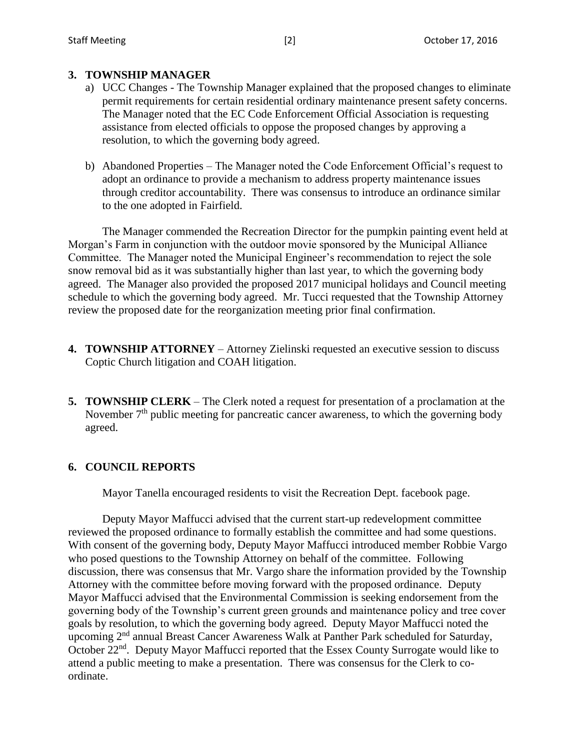### **3. TOWNSHIP MANAGER**

- a) UCC Changes The Township Manager explained that the proposed changes to eliminate permit requirements for certain residential ordinary maintenance present safety concerns. The Manager noted that the EC Code Enforcement Official Association is requesting assistance from elected officials to oppose the proposed changes by approving a resolution, to which the governing body agreed.
- b) Abandoned Properties The Manager noted the Code Enforcement Official's request to adopt an ordinance to provide a mechanism to address property maintenance issues through creditor accountability. There was consensus to introduce an ordinance similar to the one adopted in Fairfield.

The Manager commended the Recreation Director for the pumpkin painting event held at Morgan's Farm in conjunction with the outdoor movie sponsored by the Municipal Alliance Committee. The Manager noted the Municipal Engineer's recommendation to reject the sole snow removal bid as it was substantially higher than last year, to which the governing body agreed. The Manager also provided the proposed 2017 municipal holidays and Council meeting schedule to which the governing body agreed. Mr. Tucci requested that the Township Attorney review the proposed date for the reorganization meeting prior final confirmation.

- **4. TOWNSHIP ATTORNEY** Attorney Zielinski requested an executive session to discuss Coptic Church litigation and COAH litigation.
- **5. TOWNSHIP CLERK** The Clerk noted a request for presentation of a proclamation at the November  $7<sup>th</sup>$  public meeting for pancreatic cancer awareness, to which the governing body agreed.

## **6. COUNCIL REPORTS**

Mayor Tanella encouraged residents to visit the Recreation Dept. facebook page.

Deputy Mayor Maffucci advised that the current start-up redevelopment committee reviewed the proposed ordinance to formally establish the committee and had some questions. With consent of the governing body, Deputy Mayor Maffucci introduced member Robbie Vargo who posed questions to the Township Attorney on behalf of the committee. Following discussion, there was consensus that Mr. Vargo share the information provided by the Township Attorney with the committee before moving forward with the proposed ordinance. Deputy Mayor Maffucci advised that the Environmental Commission is seeking endorsement from the governing body of the Township's current green grounds and maintenance policy and tree cover goals by resolution, to which the governing body agreed. Deputy Mayor Maffucci noted the upcoming 2nd annual Breast Cancer Awareness Walk at Panther Park scheduled for Saturday, October 22<sup>nd</sup>. Deputy Mayor Maffucci reported that the Essex County Surrogate would like to attend a public meeting to make a presentation. There was consensus for the Clerk to coordinate.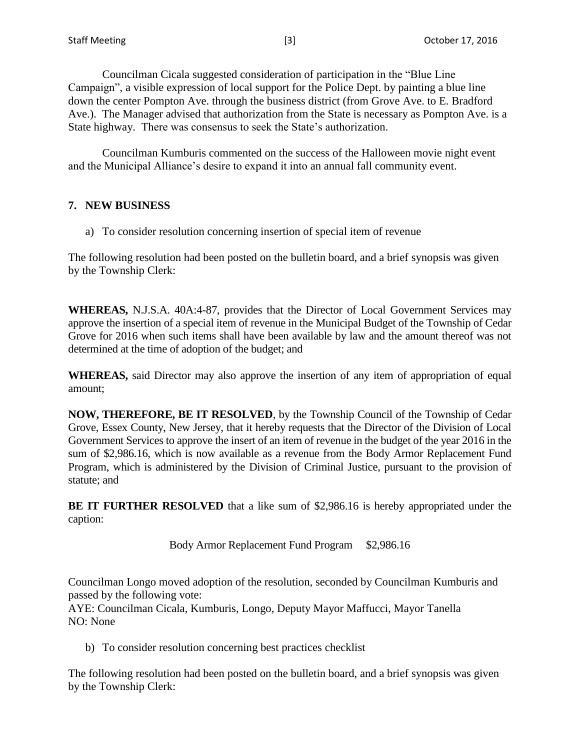Councilman Cicala suggested consideration of participation in the "Blue Line Campaign", a visible expression of local support for the Police Dept. by painting a blue line down the center Pompton Ave. through the business district (from Grove Ave. to E. Bradford Ave.). The Manager advised that authorization from the State is necessary as Pompton Ave. is a State highway. There was consensus to seek the State's authorization.

Councilman Kumburis commented on the success of the Halloween movie night event and the Municipal Alliance's desire to expand it into an annual fall community event.

## **7. NEW BUSINESS**

a) To consider resolution concerning insertion of special item of revenue

The following resolution had been posted on the bulletin board, and a brief synopsis was given by the Township Clerk:

**WHEREAS,** N.J.S.A. 40A:4-87, provides that the Director of Local Government Services may approve the insertion of a special item of revenue in the Municipal Budget of the Township of Cedar Grove for 2016 when such items shall have been available by law and the amount thereof was not determined at the time of adoption of the budget; and

**WHEREAS,** said Director may also approve the insertion of any item of appropriation of equal amount;

**NOW, THEREFORE, BE IT RESOLVED**, by the Township Council of the Township of Cedar Grove, Essex County, New Jersey, that it hereby requests that the Director of the Division of Local Government Services to approve the insert of an item of revenue in the budget of the year 2016 in the sum of \$2,986.16, which is now available as a revenue from the Body Armor Replacement Fund Program, which is administered by the Division of Criminal Justice, pursuant to the provision of statute; and

**BE IT FURTHER RESOLVED** that a like sum of \$2,986.16 is hereby appropriated under the caption:

Body Armor Replacement Fund Program \$2,986.16

Councilman Longo moved adoption of the resolution, seconded by Councilman Kumburis and passed by the following vote:

AYE: Councilman Cicala, Kumburis, Longo, Deputy Mayor Maffucci, Mayor Tanella NO: None

b) To consider resolution concerning best practices checklist

The following resolution had been posted on the bulletin board, and a brief synopsis was given by the Township Clerk: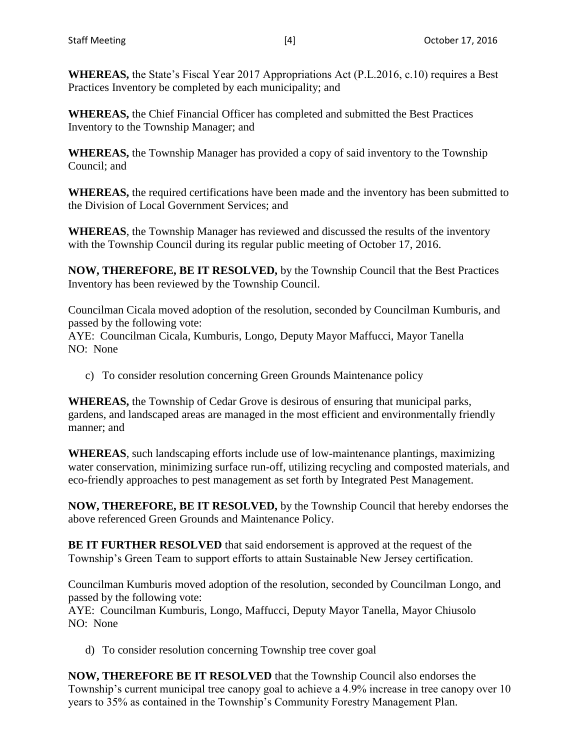**WHEREAS,** the State's Fiscal Year 2017 Appropriations Act (P.L.2016, c.10) requires a Best Practices Inventory be completed by each municipality; and

**WHEREAS,** the Chief Financial Officer has completed and submitted the Best Practices Inventory to the Township Manager; and

**WHEREAS,** the Township Manager has provided a copy of said inventory to the Township Council; and

**WHEREAS,** the required certifications have been made and the inventory has been submitted to the Division of Local Government Services; and

**WHEREAS**, the Township Manager has reviewed and discussed the results of the inventory with the Township Council during its regular public meeting of October 17, 2016.

**NOW, THEREFORE, BE IT RESOLVED,** by the Township Council that the Best Practices Inventory has been reviewed by the Township Council.

Councilman Cicala moved adoption of the resolution, seconded by Councilman Kumburis, and passed by the following vote:

AYE: Councilman Cicala, Kumburis, Longo, Deputy Mayor Maffucci, Mayor Tanella NO: None

c) To consider resolution concerning Green Grounds Maintenance policy

**WHEREAS,** the Township of Cedar Grove is desirous of ensuring that municipal parks, gardens, and landscaped areas are managed in the most efficient and environmentally friendly manner; and

**WHEREAS**, such landscaping efforts include use of low-maintenance plantings, maximizing water conservation, minimizing surface run-off, utilizing recycling and composted materials, and eco-friendly approaches to pest management as set forth by Integrated Pest Management.

**NOW, THEREFORE, BE IT RESOLVED,** by the Township Council that hereby endorses the above referenced Green Grounds and Maintenance Policy.

**BE IT FURTHER RESOLVED** that said endorsement is approved at the request of the Township's Green Team to support efforts to attain Sustainable New Jersey certification.

Councilman Kumburis moved adoption of the resolution, seconded by Councilman Longo, and passed by the following vote:

AYE: Councilman Kumburis, Longo, Maffucci, Deputy Mayor Tanella, Mayor Chiusolo NO: None

d) To consider resolution concerning Township tree cover goal

**NOW, THEREFORE BE IT RESOLVED** that the Township Council also endorses the Township's current municipal tree canopy goal to achieve a 4.9% increase in tree canopy over 10 years to 35% as contained in the Township's Community Forestry Management Plan.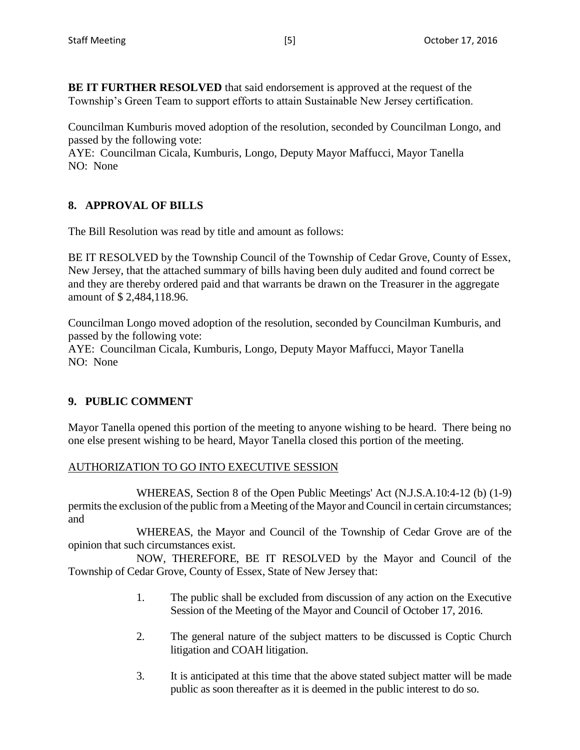**BE IT FURTHER RESOLVED** that said endorsement is approved at the request of the Township's Green Team to support efforts to attain Sustainable New Jersey certification.

Councilman Kumburis moved adoption of the resolution, seconded by Councilman Longo, and passed by the following vote:

AYE: Councilman Cicala, Kumburis, Longo, Deputy Mayor Maffucci, Mayor Tanella NO: None

## **8. APPROVAL OF BILLS**

The Bill Resolution was read by title and amount as follows:

BE IT RESOLVED by the Township Council of the Township of Cedar Grove, County of Essex, New Jersey, that the attached summary of bills having been duly audited and found correct be and they are thereby ordered paid and that warrants be drawn on the Treasurer in the aggregate amount of \$ 2,484,118.96.

Councilman Longo moved adoption of the resolution, seconded by Councilman Kumburis, and passed by the following vote:

AYE: Councilman Cicala, Kumburis, Longo, Deputy Mayor Maffucci, Mayor Tanella NO: None

## **9. PUBLIC COMMENT**

Mayor Tanella opened this portion of the meeting to anyone wishing to be heard. There being no one else present wishing to be heard, Mayor Tanella closed this portion of the meeting.

## AUTHORIZATION TO GO INTO EXECUTIVE SESSION

WHEREAS, Section 8 of the Open Public Meetings' Act (N.J.S.A.10:4-12 (b) (1-9) permits the exclusion of the public from a Meeting of the Mayor and Council in certain circumstances; and

WHEREAS, the Mayor and Council of the Township of Cedar Grove are of the opinion that such circumstances exist.

NOW, THEREFORE, BE IT RESOLVED by the Mayor and Council of the Township of Cedar Grove, County of Essex, State of New Jersey that:

- 1. The public shall be excluded from discussion of any action on the Executive Session of the Meeting of the Mayor and Council of October 17, 2016.
- 2. The general nature of the subject matters to be discussed is Coptic Church litigation and COAH litigation.
- 3. It is anticipated at this time that the above stated subject matter will be made public as soon thereafter as it is deemed in the public interest to do so.